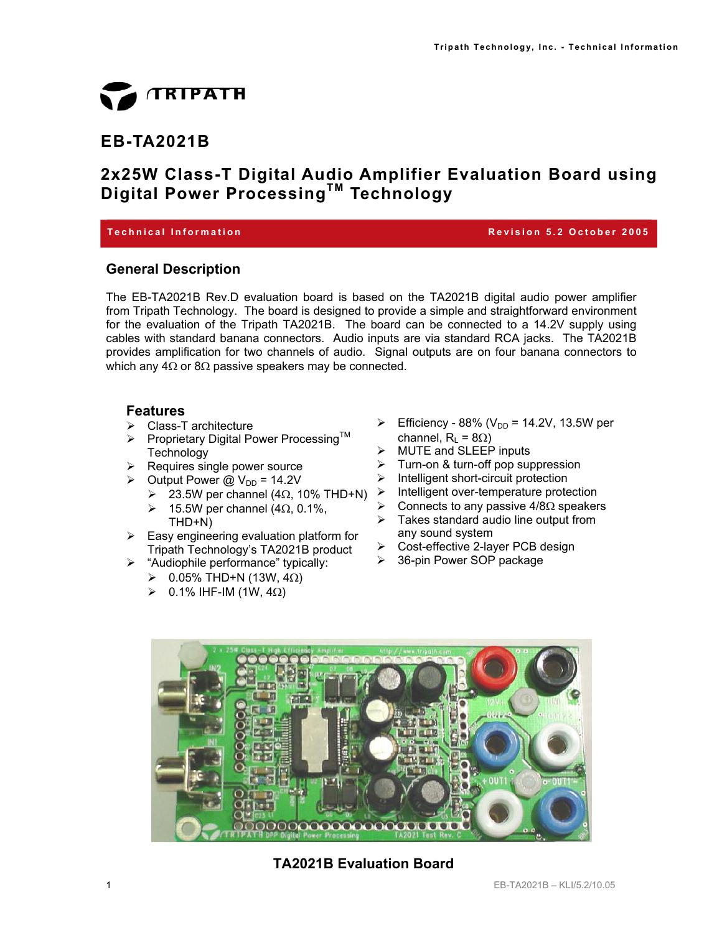

# **EB-TA2021B**

# **2x25W Class-T Digital Audio Amplifier Evaluation Board using Digital Power ProcessingTM Technology**

#### **Technical Information Revision 5.2 October 2005**

#### **General Description**

The EB-TA2021B Rev.D evaluation board is based on the TA2021B digital audio power amplifier from Tripath Technology. The board is designed to provide a simple and straightforward environment for the evaluation of the Tripath TA2021B. The board can be connected to a 14.2V supply using cables with standard banana connectors. Audio inputs are via standard RCA jacks. The TA2021B provides amplification for two channels of audio. Signal outputs are on four banana connectors to which any  $4\Omega$  or  $8\Omega$  passive speakers may be connected.

#### **Features**

- ¾ Class-T architecture
- ▶ Proprietary Digital Power Processing™ **Technology**
- $\triangleright$  Requires single power source
- $\geq$  Output Power @ V<sub>DD</sub> = 14.2V
	- $\triangleright$  23.5W per channel (4Ω, 10% THD+N)  $\triangleright$  Intelligent over-temperature protection
	- $≥$  15.5W per channel (4Ω, 0.1%, THD+N)
- $\triangleright$  Easy engineering evaluation platform for Tripath Technology's TA2021B product
- ¾ "Audiophile performance" typically:
	- ¾ 0.05% THD+N (13W, 4Ω)
	- $≥$  0.1% IHF-IM (1W, 4Ω)
- ▶ Efficiency 88% ( $V_{DD}$  = 14.2V, 13.5W per channel,  $R_1 = 8\Omega$ )
- ¾ MUTE and SLEEP inputs
- $\geq$  Turn-on & turn-off pop suppression<br> $\geq$  Intelligent short-circuit protection
- Intelligent short-circuit protection
- 
- $\triangleright$  Connects to any passive 4/8Ω speakers
- $\triangleright$  Takes standard audio line output from any sound system
- ¾ Cost-effective 2-layer PCB design
- $\geq$  36-pin Power SOP package



#### **TA2021B Evaluation Board**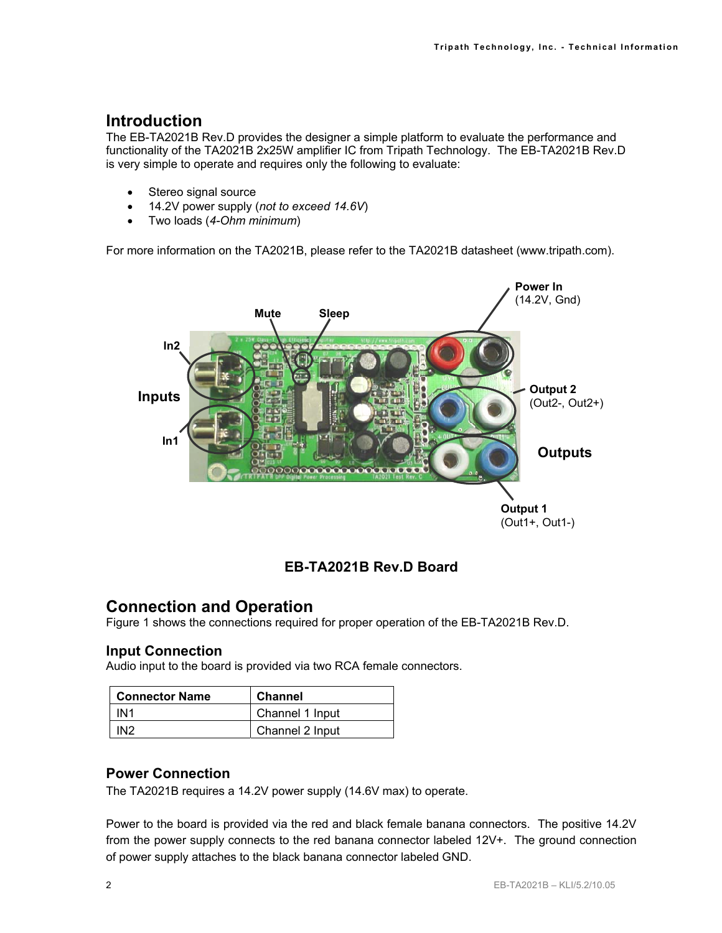# **Introduction**

The EB-TA2021B Rev.D provides the designer a simple platform to evaluate the performance and functionality of the TA2021B 2x25W amplifier IC from Tripath Technology. The EB-TA2021B Rev.D is very simple to operate and requires only the following to evaluate:

- Stereo signal source
- 14.2V power supply (*not to exceed 14.6V*)
- Two loads (*4-Ohm minimum*)

For more information on the TA2021B, please refer to the TA2021B datasheet (www.tripath.com).



### **EB-TA2021B Rev.D Board**

### **Connection and Operation**

Figure 1 shows the connections required for proper operation of the EB-TA2021B Rev.D.

#### **Input Connection**

Audio input to the board is provided via two RCA female connectors.

| <b>Connector Name</b> | <b>Channel</b>  |
|-----------------------|-----------------|
| IN1                   | Channel 1 Input |
| IN2                   | Channel 2 Input |

#### **Power Connection**

The TA2021B requires a 14.2V power supply (14.6V max) to operate.

Power to the board is provided via the red and black female banana connectors. The positive 14.2V from the power supply connects to the red banana connector labeled 12V+. The ground connection of power supply attaches to the black banana connector labeled GND.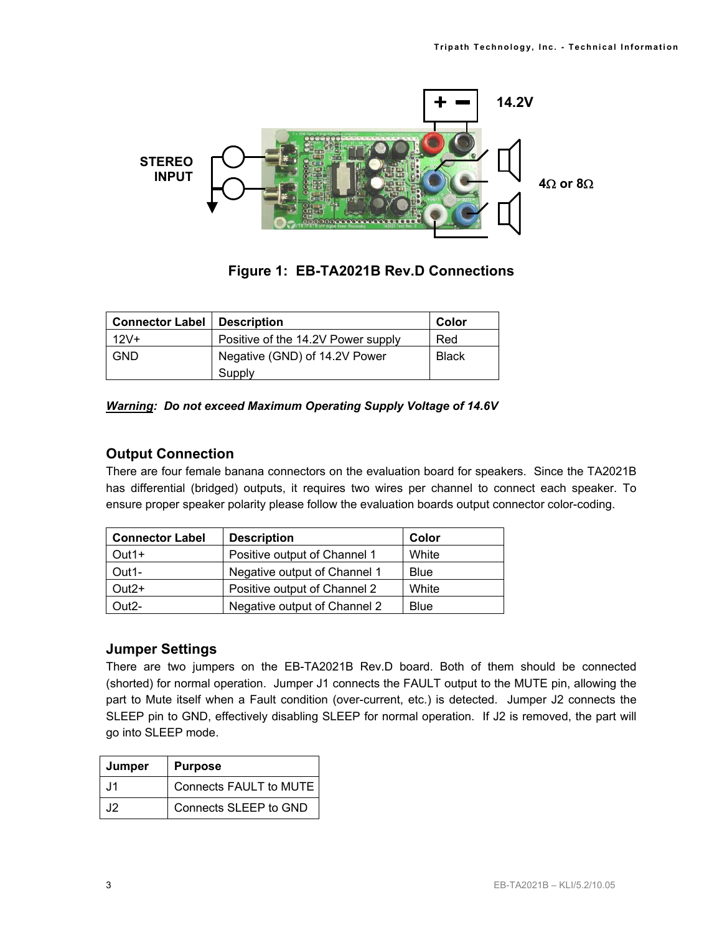

**Figure 1: EB-TA2021B Rev.D Connections** 

| <b>Connector Label</b> | <b>Description</b>                 | Color        |
|------------------------|------------------------------------|--------------|
| $12V +$                | Positive of the 14.2V Power supply | Red          |
| GND                    | Negative (GND) of 14.2V Power      | <b>Black</b> |
|                        | Supply                             |              |

#### *Warning: Do not exceed Maximum Operating Supply Voltage of 14.6V*

#### **Output Connection**

There are four female banana connectors on the evaluation board for speakers. Since the TA2021B has differential (bridged) outputs, it requires two wires per channel to connect each speaker. To ensure proper speaker polarity please follow the evaluation boards output connector color-coding.

| <b>Connector Label</b> | <b>Description</b>           | Color       |
|------------------------|------------------------------|-------------|
| Out1+                  | Positive output of Channel 1 | White       |
| Out1-                  | Negative output of Channel 1 | <b>Blue</b> |
| $Out2+$                | Positive output of Channel 2 | White       |
| Out2-                  | Negative output of Channel 2 | <b>Blue</b> |

#### **Jumper Settings**

There are two jumpers on the EB-TA2021B Rev.D board. Both of them should be connected (shorted) for normal operation. Jumper J1 connects the FAULT output to the MUTE pin, allowing the part to Mute itself when a Fault condition (over-current, etc.) is detected. Jumper J2 connects the SLEEP pin to GND, effectively disabling SLEEP for normal operation. If J2 is removed, the part will go into SLEEP mode.

| Jumper | <b>Purpose</b>         |
|--------|------------------------|
| .11    | Connects FAULT to MUTE |
| .12    | Connects SLEEP to GND  |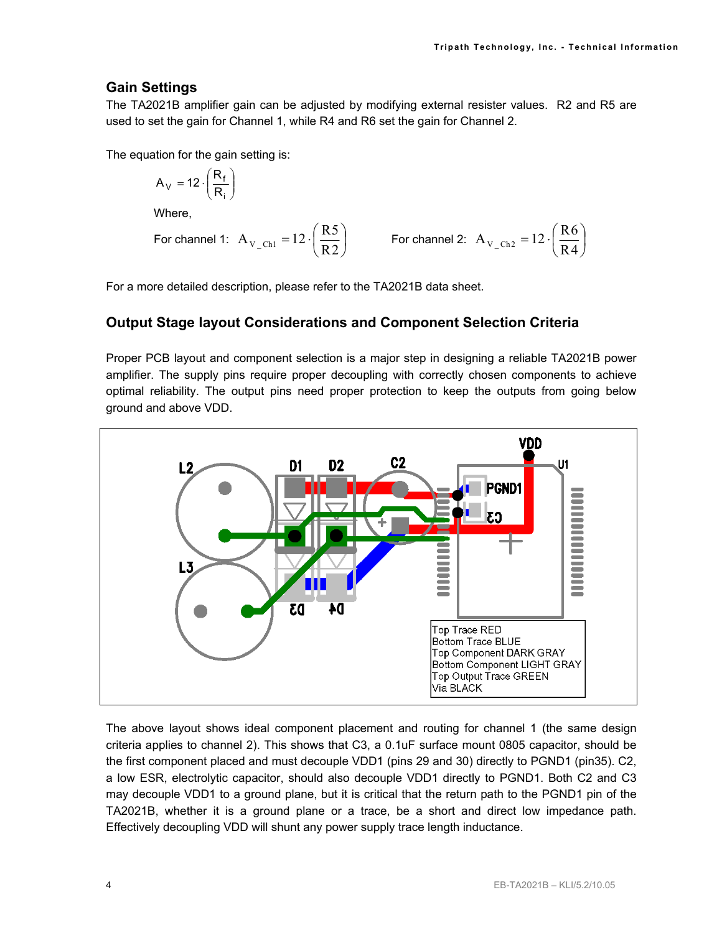#### **Gain Settings**

The TA2021B amplifier gain can be adjusted by modifying external resister values. R2 and R5 are used to set the gain for Channel 1, while R4 and R6 set the gain for Channel 2.

The equation for the gain setting is:

$$
A_V = 12 \cdot \left(\frac{R_f}{R_i}\right)
$$

Where,

For channel 1: 
$$
A_{V_{\text{C}}\text{Ch1}} = 12 \cdot \left(\frac{R5}{R2}\right)
$$
 For channel 2:  $A_{V_{\text{C}}\text{Ch2}} = 12 \cdot \left(\frac{R6}{R4}\right)$ 

For a more detailed description, please refer to the TA2021B data sheet.

#### **Output Stage layout Considerations and Component Selection Criteria**

Proper PCB layout and component selection is a major step in designing a reliable TA2021B power amplifier. The supply pins require proper decoupling with correctly chosen components to achieve optimal reliability. The output pins need proper protection to keep the outputs from going below ground and above VDD.



The above layout shows ideal component placement and routing for channel 1 (the same design criteria applies to channel 2). This shows that C3, a 0.1uF surface mount 0805 capacitor, should be the first component placed and must decouple VDD1 (pins 29 and 30) directly to PGND1 (pin35). C2, a low ESR, electrolytic capacitor, should also decouple VDD1 directly to PGND1. Both C2 and C3 may decouple VDD1 to a ground plane, but it is critical that the return path to the PGND1 pin of the TA2021B, whether it is a ground plane or a trace, be a short and direct low impedance path. Effectively decoupling VDD will shunt any power supply trace length inductance.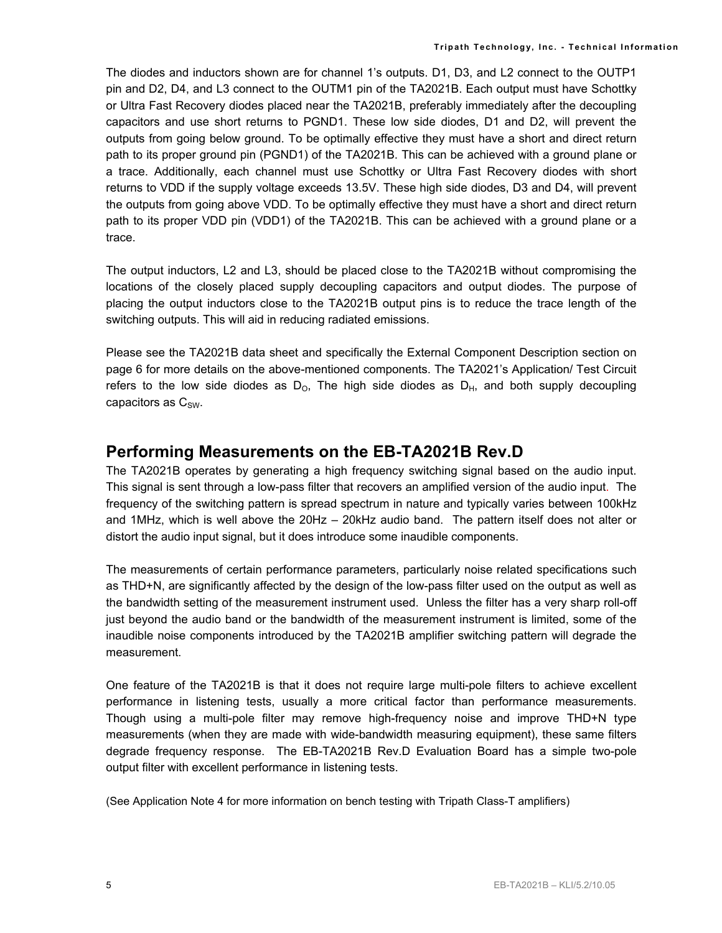The diodes and inductors shown are for channel 1's outputs. D1, D3, and L2 connect to the OUTP1 pin and D2, D4, and L3 connect to the OUTM1 pin of the TA2021B. Each output must have Schottky or Ultra Fast Recovery diodes placed near the TA2021B, preferably immediately after the decoupling capacitors and use short returns to PGND1. These low side diodes, D1 and D2, will prevent the outputs from going below ground. To be optimally effective they must have a short and direct return path to its proper ground pin (PGND1) of the TA2021B. This can be achieved with a ground plane or a trace. Additionally, each channel must use Schottky or Ultra Fast Recovery diodes with short returns to VDD if the supply voltage exceeds 13.5V. These high side diodes, D3 and D4, will prevent the outputs from going above VDD. To be optimally effective they must have a short and direct return path to its proper VDD pin (VDD1) of the TA2021B. This can be achieved with a ground plane or a trace.

The output inductors, L2 and L3, should be placed close to the TA2021B without compromising the locations of the closely placed supply decoupling capacitors and output diodes. The purpose of placing the output inductors close to the TA2021B output pins is to reduce the trace length of the switching outputs. This will aid in reducing radiated emissions.

Please see the TA2021B data sheet and specifically the External Component Description section on page 6 for more details on the above-mentioned components. The TA2021's Application/ Test Circuit refers to the low side diodes as  $D_0$ . The high side diodes as  $D_H$ , and both supply decoupling capacitors as  $C_{SW}$ .

# **Performing Measurements on the EB-TA2021B Rev.D**

The TA2021B operates by generating a high frequency switching signal based on the audio input. This signal is sent through a low-pass filter that recovers an amplified version of the audio input. The frequency of the switching pattern is spread spectrum in nature and typically varies between 100kHz and 1MHz, which is well above the 20Hz – 20kHz audio band. The pattern itself does not alter or distort the audio input signal, but it does introduce some inaudible components.

The measurements of certain performance parameters, particularly noise related specifications such as THD+N, are significantly affected by the design of the low-pass filter used on the output as well as the bandwidth setting of the measurement instrument used. Unless the filter has a very sharp roll-off just beyond the audio band or the bandwidth of the measurement instrument is limited, some of the inaudible noise components introduced by the TA2021B amplifier switching pattern will degrade the measurement.

One feature of the TA2021B is that it does not require large multi-pole filters to achieve excellent performance in listening tests, usually a more critical factor than performance measurements. Though using a multi-pole filter may remove high-frequency noise and improve THD+N type measurements (when they are made with wide-bandwidth measuring equipment), these same filters degrade frequency response. The EB-TA2021B Rev.D Evaluation Board has a simple two-pole output filter with excellent performance in listening tests.

(See Application Note 4 for more information on bench testing with Tripath Class-T amplifiers)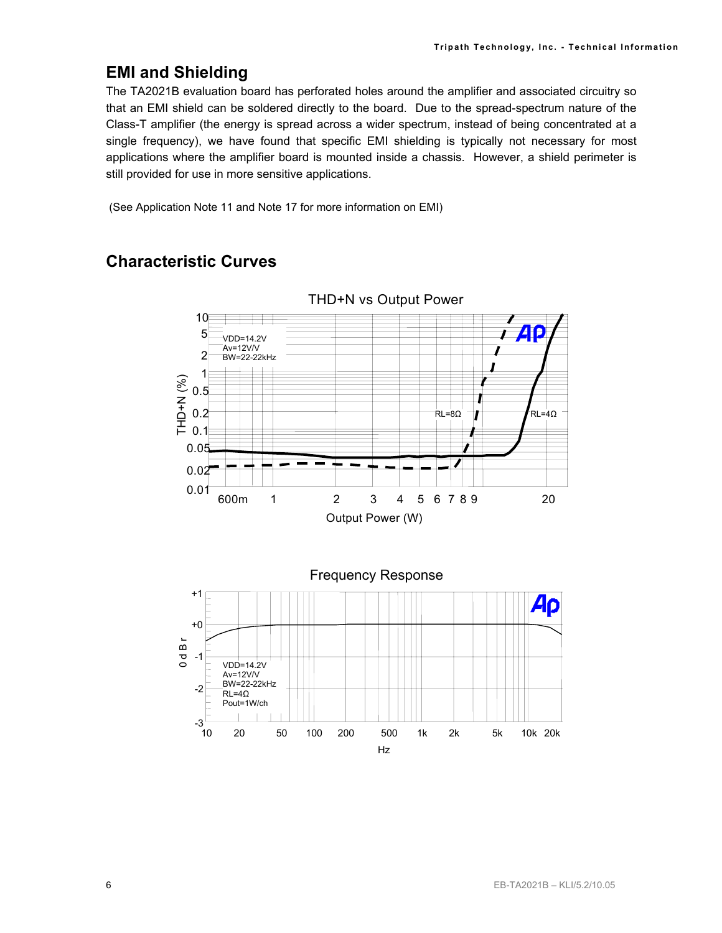# **EMI and Shielding**

The TA2021B evaluation board has perforated holes around the amplifier and associated circuitry so that an EMI shield can be soldered directly to the board. Due to the spread-spectrum nature of the Class-T amplifier (the energy is spread across a wider spectrum, instead of being concentrated at a single frequency), we have found that specific EMI shielding is typically not necessary for most applications where the amplifier board is mounted inside a chassis. However, a shield perimeter is still provided for use in more sensitive applications.

(See Application Note 11 and Note 17 for more information on EMI)

# **Characteristic Curves**



THD+N vs Output Power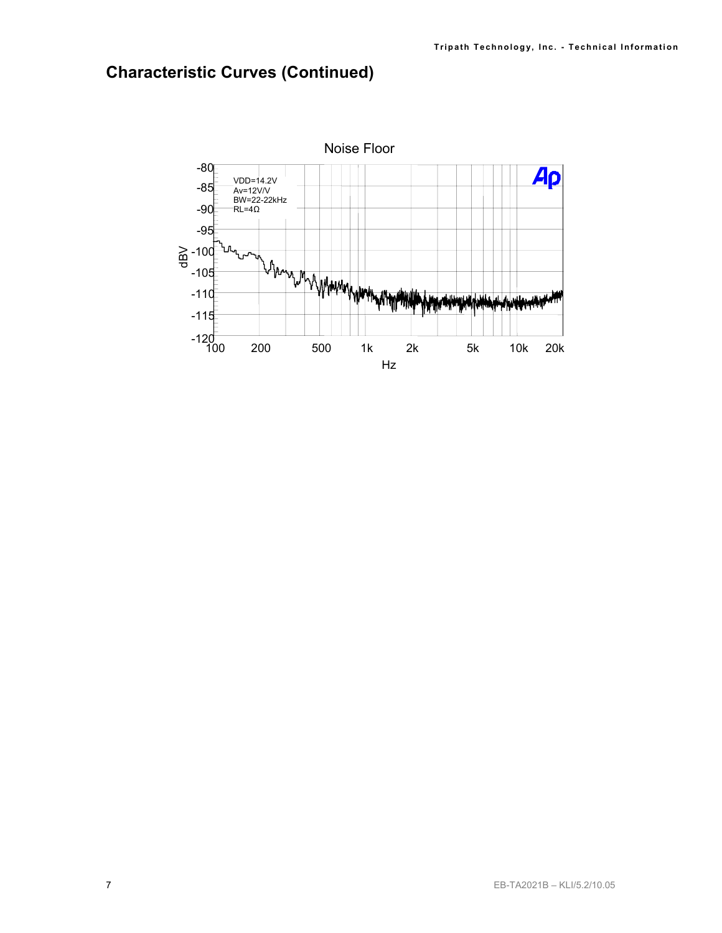# **Characteristic Curves (Continued)**

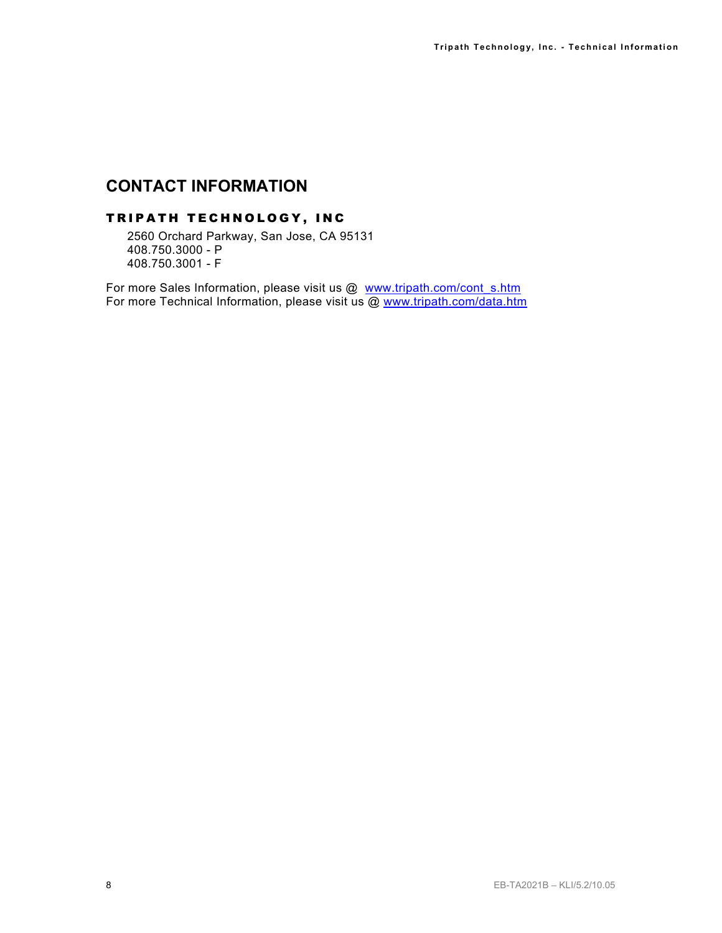# **CONTACT INFORMATION**

#### TRIPATH TECHNOLOGY, INC

2560 Orchard Parkway, San Jose, CA 95131 408.750.3000 - P 408.750.3001 - F

For more Sales Information, please visit us @ www.tripath.com/cont\_s.htm For more Technical Information, please visit us @ www.tripath.com/data.htm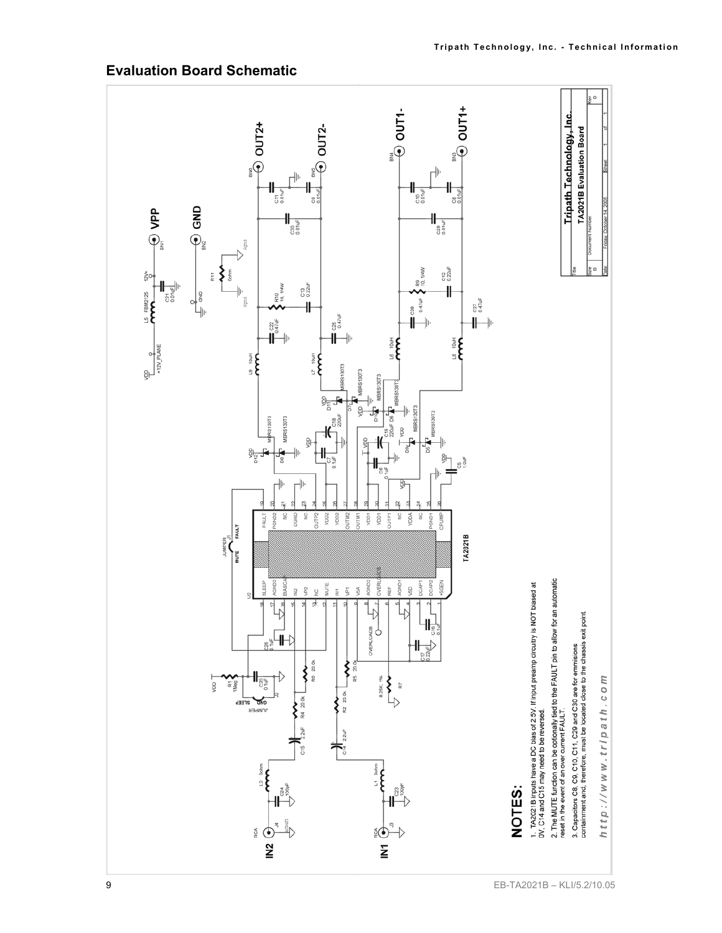

# **Evaluation Board Schematic**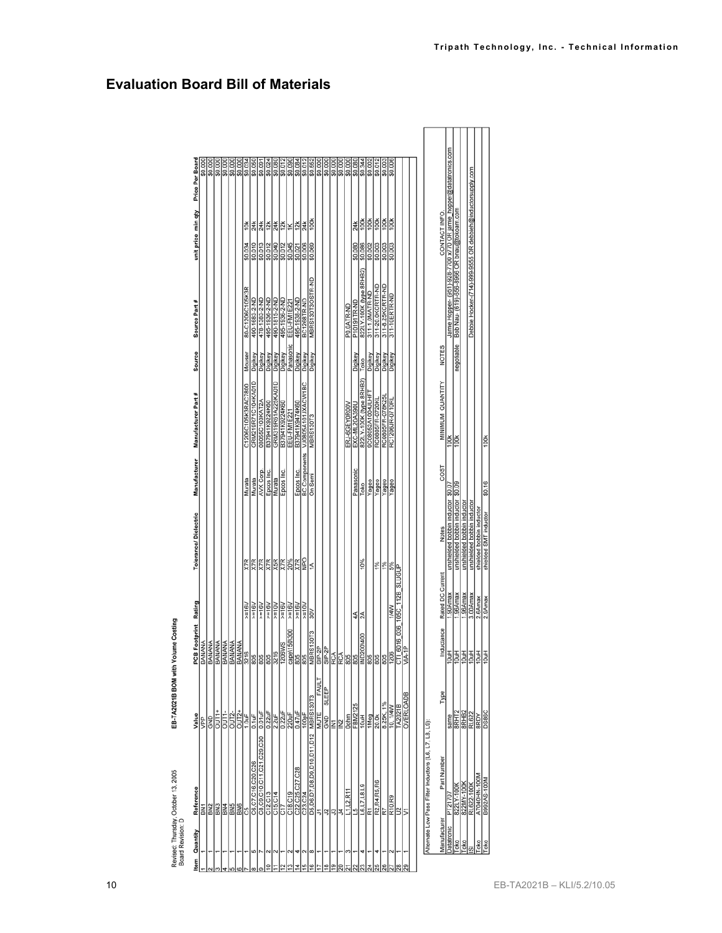| Price Per Board<br>\$0.012<br>\$0,012<br>\$0.084<br>\$0.000<br>\$0,000<br>\$0.000<br>\$0.000<br>\$0.000<br>\$0.080<br>\$0.344<br>\$0.002<br>\$0.552<br>\$0,003<br>\$0,006<br>unit price min qty<br>100k<br>$\frac{100}{100}$<br>100k<br>$\frac{100k}{k}$<br>100 <sub>k</sub><br>$\frac{12k}{k}$<br>24k<br>24k<br> 쑃  치도   갖<br>$\frac{24k}{k}$<br>24k<br>10 <sub>k</sub><br>\$0.010<br>\$0.013<br>\$0,045<br>\$0.012<br>\$0.040<br>\$0.012<br>\$0.006<br>\$0.069<br>\$0.086<br>\$0.003<br>\$0.003<br>\$0,003<br>\$0.034<br>\$0,080<br>\$0.002<br>\$0.021<br>822LY-100K (type 8RHB2)<br>MBRS130T3OSTR-ND<br>311-20.0KCRTR-ND<br>311-8.25KCRTR-ND<br>80-C1206C105K3R<br>311-1.0MATR-ND<br>311-10ERTR-ND<br>495-1936-2-ND<br>490-1683-2-ND<br>478-1383-2-ND<br>490-1815-2-ND<br>495-1936-2-ND<br>495-1938-2-ND<br>BC1268TR-ND<br>Source Part #<br>EEU-FM1E221<br>P10191TR-ND<br>P0.0ATR-ND<br>Panasonic<br>Source<br>Mouser<br>Digikey<br>Digikey<br>Digikey<br>Digikey<br><b>Digikey</b><br>Digikey<br>Digikey<br>Digikey<br>Digikey<br>Digikey<br>Digikey<br>Digikey<br>Digikey<br>Toko<br>822LY-100K (type 8RHB2)<br>GRM219R71C104KA01D<br>GRM319R61A225KA01D<br>VJ0805A101JXACW1BC<br>C1206C105K3RAC7800<br>Manufacturer Part #<br>9C08052A1004JLHF1<br>RC0805FR-078K25L<br>RC0805FR-0720KL<br>RC1206JR-0710RL<br>08055C103KAT2A<br>B37941K9224K60<br>B37941K9224K60<br>B37941K9474K60<br>EXC-ML20A390U<br>ERJ-6GEY0R00V<br>EEU-FM1E221<br><b>MBRS130T3</b><br><b>BC</b> Components<br>Manufacturer<br>Panasonic<br>Epcos Inc.<br>Epcos Inc.<br><b>AVX Corp.</b><br>Epcos Inc.<br>On Semi<br>Murata<br>Murata<br>Murata<br>Yageo<br>Yageo<br>Yageo<br>Yageo<br>Toko<br>Tolerance/Dielectric<br><b>DdN</b><br>$\frac{20\%}{X7R}$<br>X7R<br>X7R<br>X5R<br>10%<br>X7R<br><b>X7R</b><br><b>X7R</b><br>1%<br>5%<br>1%<br>$\leq$<br><b>SLUGUP</b><br>6016 036 105C 112B<br>Footprint Rating<br>$>=16V$<br>$>=16V$<br>$\times 10V$<br>$>=16V$<br>$y = 16V$<br>$\times 16V$<br>$>=10V$<br>$>=16V$<br>$>=16V$<br>1/4W<br>$\approx$<br>44<br>2A<br>FAULT<br><b>SLEEP</b><br><b>OVERLOADB</b><br><b>MBRS130T3</b><br>FBM2125<br>TA2021B<br>10, 1/4W<br>$0.22$ uF<br>$\frac{220 \text{ L}}{0.47 \text{ L}}$<br>$\frac{2.2 \text{uF}}{0.22 \text{uF}}$<br>MUTE<br>8.25K,<br>Value<br>翡<br>1Meg<br>Four<br>20.0k<br>GND<br>ERE<br>GND<br>D5,D6,D7,D8,D9,D10,D11,D12<br>C8.C9.C10.C11.C21.C29.C30<br>C6.C7.C16.C20.C26<br>C22,C25,C27,C28<br>C23,C24<br>R2,R4,R5,R6<br>R7<br>$\frac{15}{16,17,18,19}$<br>Reference<br>C15, C14<br>L1.L2.R1<br>C18, C19<br>C12.C13<br>R10, R9<br><u>န္တုန္တု</u><br><b>SE</b><br>BN <sub>2</sub><br><b>G17</b><br>5N1<br>의기<br>하라로<br>군<br>5<br>Item Quantity<br>ம<br>œ<br>4 |              |              |  |         |                          |        |                  |  |  |         |
|-----------------------------------------------------------------------------------------------------------------------------------------------------------------------------------------------------------------------------------------------------------------------------------------------------------------------------------------------------------------------------------------------------------------------------------------------------------------------------------------------------------------------------------------------------------------------------------------------------------------------------------------------------------------------------------------------------------------------------------------------------------------------------------------------------------------------------------------------------------------------------------------------------------------------------------------------------------------------------------------------------------------------------------------------------------------------------------------------------------------------------------------------------------------------------------------------------------------------------------------------------------------------------------------------------------------------------------------------------------------------------------------------------------------------------------------------------------------------------------------------------------------------------------------------------------------------------------------------------------------------------------------------------------------------------------------------------------------------------------------------------------------------------------------------------------------------------------------------------------------------------------------------------------------------------------------------------------------------------------------------------------------------------------------------------------------------------------------------------------------------------------------------------------------------------------------------------------------------------------------------------------------------------------------------------------------------------------------------------------------------------------------------------------------------------------------------------------------------------------------------------------------------------------------------------------------------------------------------------------------------------------------------------------------------------------------------|--------------|--------------|--|---------|--------------------------|--------|------------------|--|--|---------|
|                                                                                                                                                                                                                                                                                                                                                                                                                                                                                                                                                                                                                                                                                                                                                                                                                                                                                                                                                                                                                                                                                                                                                                                                                                                                                                                                                                                                                                                                                                                                                                                                                                                                                                                                                                                                                                                                                                                                                                                                                                                                                                                                                                                                                                                                                                                                                                                                                                                                                                                                                                                                                                                                                               |              |              |  |         |                          |        |                  |  |  |         |
|                                                                                                                                                                                                                                                                                                                                                                                                                                                                                                                                                                                                                                                                                                                                                                                                                                                                                                                                                                                                                                                                                                                                                                                                                                                                                                                                                                                                                                                                                                                                                                                                                                                                                                                                                                                                                                                                                                                                                                                                                                                                                                                                                                                                                                                                                                                                                                                                                                                                                                                                                                                                                                                                                               |              |              |  |         |                          |        |                  |  |  | \$0.000 |
|                                                                                                                                                                                                                                                                                                                                                                                                                                                                                                                                                                                                                                                                                                                                                                                                                                                                                                                                                                                                                                                                                                                                                                                                                                                                                                                                                                                                                                                                                                                                                                                                                                                                                                                                                                                                                                                                                                                                                                                                                                                                                                                                                                                                                                                                                                                                                                                                                                                                                                                                                                                                                                                                                               |              |              |  |         |                          |        |                  |  |  | \$0.000 |
|                                                                                                                                                                                                                                                                                                                                                                                                                                                                                                                                                                                                                                                                                                                                                                                                                                                                                                                                                                                                                                                                                                                                                                                                                                                                                                                                                                                                                                                                                                                                                                                                                                                                                                                                                                                                                                                                                                                                                                                                                                                                                                                                                                                                                                                                                                                                                                                                                                                                                                                                                                                                                                                                                               |              |              |  |         |                          |        |                  |  |  | \$0.000 |
|                                                                                                                                                                                                                                                                                                                                                                                                                                                                                                                                                                                                                                                                                                                                                                                                                                                                                                                                                                                                                                                                                                                                                                                                                                                                                                                                                                                                                                                                                                                                                                                                                                                                                                                                                                                                                                                                                                                                                                                                                                                                                                                                                                                                                                                                                                                                                                                                                                                                                                                                                                                                                                                                                               |              |              |  |         |                          |        |                  |  |  | \$0.000 |
|                                                                                                                                                                                                                                                                                                                                                                                                                                                                                                                                                                                                                                                                                                                                                                                                                                                                                                                                                                                                                                                                                                                                                                                                                                                                                                                                                                                                                                                                                                                                                                                                                                                                                                                                                                                                                                                                                                                                                                                                                                                                                                                                                                                                                                                                                                                                                                                                                                                                                                                                                                                                                                                                                               |              |              |  |         |                          |        |                  |  |  | \$0,000 |
|                                                                                                                                                                                                                                                                                                                                                                                                                                                                                                                                                                                                                                                                                                                                                                                                                                                                                                                                                                                                                                                                                                                                                                                                                                                                                                                                                                                                                                                                                                                                                                                                                                                                                                                                                                                                                                                                                                                                                                                                                                                                                                                                                                                                                                                                                                                                                                                                                                                                                                                                                                                                                                                                                               |              |              |  |         |                          |        |                  |  |  | \$0.000 |
|                                                                                                                                                                                                                                                                                                                                                                                                                                                                                                                                                                                                                                                                                                                                                                                                                                                                                                                                                                                                                                                                                                                                                                                                                                                                                                                                                                                                                                                                                                                                                                                                                                                                                                                                                                                                                                                                                                                                                                                                                                                                                                                                                                                                                                                                                                                                                                                                                                                                                                                                                                                                                                                                                               |              |              |  |         |                          |        |                  |  |  | \$0.034 |
|                                                                                                                                                                                                                                                                                                                                                                                                                                                                                                                                                                                                                                                                                                                                                                                                                                                                                                                                                                                                                                                                                                                                                                                                                                                                                                                                                                                                                                                                                                                                                                                                                                                                                                                                                                                                                                                                                                                                                                                                                                                                                                                                                                                                                                                                                                                                                                                                                                                                                                                                                                                                                                                                                               |              |              |  |         |                          |        |                  |  |  | \$0.050 |
|                                                                                                                                                                                                                                                                                                                                                                                                                                                                                                                                                                                                                                                                                                                                                                                                                                                                                                                                                                                                                                                                                                                                                                                                                                                                                                                                                                                                                                                                                                                                                                                                                                                                                                                                                                                                                                                                                                                                                                                                                                                                                                                                                                                                                                                                                                                                                                                                                                                                                                                                                                                                                                                                                               |              |              |  |         |                          |        |                  |  |  | \$0.091 |
|                                                                                                                                                                                                                                                                                                                                                                                                                                                                                                                                                                                                                                                                                                                                                                                                                                                                                                                                                                                                                                                                                                                                                                                                                                                                                                                                                                                                                                                                                                                                                                                                                                                                                                                                                                                                                                                                                                                                                                                                                                                                                                                                                                                                                                                                                                                                                                                                                                                                                                                                                                                                                                                                                               |              |              |  |         |                          |        |                  |  |  | \$0.024 |
|                                                                                                                                                                                                                                                                                                                                                                                                                                                                                                                                                                                                                                                                                                                                                                                                                                                                                                                                                                                                                                                                                                                                                                                                                                                                                                                                                                                                                                                                                                                                                                                                                                                                                                                                                                                                                                                                                                                                                                                                                                                                                                                                                                                                                                                                                                                                                                                                                                                                                                                                                                                                                                                                                               |              |              |  |         |                          |        |                  |  |  | \$0.080 |
|                                                                                                                                                                                                                                                                                                                                                                                                                                                                                                                                                                                                                                                                                                                                                                                                                                                                                                                                                                                                                                                                                                                                                                                                                                                                                                                                                                                                                                                                                                                                                                                                                                                                                                                                                                                                                                                                                                                                                                                                                                                                                                                                                                                                                                                                                                                                                                                                                                                                                                                                                                                                                                                                                               |              |              |  |         |                          |        |                  |  |  |         |
|                                                                                                                                                                                                                                                                                                                                                                                                                                                                                                                                                                                                                                                                                                                                                                                                                                                                                                                                                                                                                                                                                                                                                                                                                                                                                                                                                                                                                                                                                                                                                                                                                                                                                                                                                                                                                                                                                                                                                                                                                                                                                                                                                                                                                                                                                                                                                                                                                                                                                                                                                                                                                                                                                               |              |              |  |         |                          |        |                  |  |  | \$0,090 |
|                                                                                                                                                                                                                                                                                                                                                                                                                                                                                                                                                                                                                                                                                                                                                                                                                                                                                                                                                                                                                                                                                                                                                                                                                                                                                                                                                                                                                                                                                                                                                                                                                                                                                                                                                                                                                                                                                                                                                                                                                                                                                                                                                                                                                                                                                                                                                                                                                                                                                                                                                                                                                                                                                               |              |              |  |         |                          |        |                  |  |  |         |
|                                                                                                                                                                                                                                                                                                                                                                                                                                                                                                                                                                                                                                                                                                                                                                                                                                                                                                                                                                                                                                                                                                                                                                                                                                                                                                                                                                                                                                                                                                                                                                                                                                                                                                                                                                                                                                                                                                                                                                                                                                                                                                                                                                                                                                                                                                                                                                                                                                                                                                                                                                                                                                                                                               |              |              |  |         |                          |        |                  |  |  | \$0.012 |
|                                                                                                                                                                                                                                                                                                                                                                                                                                                                                                                                                                                                                                                                                                                                                                                                                                                                                                                                                                                                                                                                                                                                                                                                                                                                                                                                                                                                                                                                                                                                                                                                                                                                                                                                                                                                                                                                                                                                                                                                                                                                                                                                                                                                                                                                                                                                                                                                                                                                                                                                                                                                                                                                                               |              |              |  |         |                          |        |                  |  |  |         |
|                                                                                                                                                                                                                                                                                                                                                                                                                                                                                                                                                                                                                                                                                                                                                                                                                                                                                                                                                                                                                                                                                                                                                                                                                                                                                                                                                                                                                                                                                                                                                                                                                                                                                                                                                                                                                                                                                                                                                                                                                                                                                                                                                                                                                                                                                                                                                                                                                                                                                                                                                                                                                                                                                               |              |              |  |         |                          |        |                  |  |  |         |
|                                                                                                                                                                                                                                                                                                                                                                                                                                                                                                                                                                                                                                                                                                                                                                                                                                                                                                                                                                                                                                                                                                                                                                                                                                                                                                                                                                                                                                                                                                                                                                                                                                                                                                                                                                                                                                                                                                                                                                                                                                                                                                                                                                                                                                                                                                                                                                                                                                                                                                                                                                                                                                                                                               |              |              |  |         |                          |        |                  |  |  |         |
|                                                                                                                                                                                                                                                                                                                                                                                                                                                                                                                                                                                                                                                                                                                                                                                                                                                                                                                                                                                                                                                                                                                                                                                                                                                                                                                                                                                                                                                                                                                                                                                                                                                                                                                                                                                                                                                                                                                                                                                                                                                                                                                                                                                                                                                                                                                                                                                                                                                                                                                                                                                                                                                                                               |              |              |  |         |                          |        |                  |  |  |         |
|                                                                                                                                                                                                                                                                                                                                                                                                                                                                                                                                                                                                                                                                                                                                                                                                                                                                                                                                                                                                                                                                                                                                                                                                                                                                                                                                                                                                                                                                                                                                                                                                                                                                                                                                                                                                                                                                                                                                                                                                                                                                                                                                                                                                                                                                                                                                                                                                                                                                                                                                                                                                                                                                                               |              |              |  |         |                          |        |                  |  |  |         |
|                                                                                                                                                                                                                                                                                                                                                                                                                                                                                                                                                                                                                                                                                                                                                                                                                                                                                                                                                                                                                                                                                                                                                                                                                                                                                                                                                                                                                                                                                                                                                                                                                                                                                                                                                                                                                                                                                                                                                                                                                                                                                                                                                                                                                                                                                                                                                                                                                                                                                                                                                                                                                                                                                               |              |              |  |         |                          |        |                  |  |  |         |
|                                                                                                                                                                                                                                                                                                                                                                                                                                                                                                                                                                                                                                                                                                                                                                                                                                                                                                                                                                                                                                                                                                                                                                                                                                                                                                                                                                                                                                                                                                                                                                                                                                                                                                                                                                                                                                                                                                                                                                                                                                                                                                                                                                                                                                                                                                                                                                                                                                                                                                                                                                                                                                                                                               |              |              |  |         |                          |        |                  |  |  |         |
|                                                                                                                                                                                                                                                                                                                                                                                                                                                                                                                                                                                                                                                                                                                                                                                                                                                                                                                                                                                                                                                                                                                                                                                                                                                                                                                                                                                                                                                                                                                                                                                                                                                                                                                                                                                                                                                                                                                                                                                                                                                                                                                                                                                                                                                                                                                                                                                                                                                                                                                                                                                                                                                                                               |              |              |  |         |                          |        |                  |  |  |         |
|                                                                                                                                                                                                                                                                                                                                                                                                                                                                                                                                                                                                                                                                                                                                                                                                                                                                                                                                                                                                                                                                                                                                                                                                                                                                                                                                                                                                                                                                                                                                                                                                                                                                                                                                                                                                                                                                                                                                                                                                                                                                                                                                                                                                                                                                                                                                                                                                                                                                                                                                                                                                                                                                                               |              |              |  |         |                          |        |                  |  |  |         |
|                                                                                                                                                                                                                                                                                                                                                                                                                                                                                                                                                                                                                                                                                                                                                                                                                                                                                                                                                                                                                                                                                                                                                                                                                                                                                                                                                                                                                                                                                                                                                                                                                                                                                                                                                                                                                                                                                                                                                                                                                                                                                                                                                                                                                                                                                                                                                                                                                                                                                                                                                                                                                                                                                               |              |              |  |         |                          |        |                  |  |  |         |
|                                                                                                                                                                                                                                                                                                                                                                                                                                                                                                                                                                                                                                                                                                                                                                                                                                                                                                                                                                                                                                                                                                                                                                                                                                                                                                                                                                                                                                                                                                                                                                                                                                                                                                                                                                                                                                                                                                                                                                                                                                                                                                                                                                                                                                                                                                                                                                                                                                                                                                                                                                                                                                                                                               |              |              |  |         |                          |        |                  |  |  |         |
|                                                                                                                                                                                                                                                                                                                                                                                                                                                                                                                                                                                                                                                                                                                                                                                                                                                                                                                                                                                                                                                                                                                                                                                                                                                                                                                                                                                                                                                                                                                                                                                                                                                                                                                                                                                                                                                                                                                                                                                                                                                                                                                                                                                                                                                                                                                                                                                                                                                                                                                                                                                                                                                                                               |              |              |  |         |                          |        |                  |  |  |         |
|                                                                                                                                                                                                                                                                                                                                                                                                                                                                                                                                                                                                                                                                                                                                                                                                                                                                                                                                                                                                                                                                                                                                                                                                                                                                                                                                                                                                                                                                                                                                                                                                                                                                                                                                                                                                                                                                                                                                                                                                                                                                                                                                                                                                                                                                                                                                                                                                                                                                                                                                                                                                                                                                                               |              |              |  |         |                          |        |                  |  |  |         |
|                                                                                                                                                                                                                                                                                                                                                                                                                                                                                                                                                                                                                                                                                                                                                                                                                                                                                                                                                                                                                                                                                                                                                                                                                                                                                                                                                                                                                                                                                                                                                                                                                                                                                                                                                                                                                                                                                                                                                                                                                                                                                                                                                                                                                                                                                                                                                                                                                                                                                                                                                                                                                                                                                               |              |              |  |         |                          |        |                  |  |  |         |
|                                                                                                                                                                                                                                                                                                                                                                                                                                                                                                                                                                                                                                                                                                                                                                                                                                                                                                                                                                                                                                                                                                                                                                                                                                                                                                                                                                                                                                                                                                                                                                                                                                                                                                                                                                                                                                                                                                                                                                                                                                                                                                                                                                                                                                                                                                                                                                                                                                                                                                                                                                                                                                                                                               |              |              |  |         |                          |        |                  |  |  |         |
| Alternate Low Pass Filter Inductors (L6, L7, L8, L9)                                                                                                                                                                                                                                                                                                                                                                                                                                                                                                                                                                                                                                                                                                                                                                                                                                                                                                                                                                                                                                                                                                                                                                                                                                                                                                                                                                                                                                                                                                                                                                                                                                                                                                                                                                                                                                                                                                                                                                                                                                                                                                                                                                                                                                                                                                                                                                                                                                                                                                                                                                                                                                          |              |              |  |         |                          |        |                  |  |  |         |
| CONTACT INFO.<br><b>NOTES</b><br>MINIMUM QUANTITY<br>COST<br><b>Notes</b><br>Rated DC Current<br>Inductance<br>Type<br>Part Number<br>Manufacturer                                                                                                                                                                                                                                                                                                                                                                                                                                                                                                                                                                                                                                                                                                                                                                                                                                                                                                                                                                                                                                                                                                                                                                                                                                                                                                                                                                                                                                                                                                                                                                                                                                                                                                                                                                                                                                                                                                                                                                                                                                                                                                                                                                                                                                                                                                                                                                                                                                                                                                                                            |              |              |  |         |                          |        |                  |  |  |         |
| Jamie Hopper- (951)-928-7700 x770 OR jamie_hopper@datatronics.com<br>100 <sub>k</sub><br>unshielded bobbin inductor \$0.07<br>1.90Amax<br>same<br>PT21707<br>Datatronic                                                                                                                                                                                                                                                                                                                                                                                                                                                                                                                                                                                                                                                                                                                                                                                                                                                                                                                                                                                                                                                                                                                                                                                                                                                                                                                                                                                                                                                                                                                                                                                                                                                                                                                                                                                                                                                                                                                                                                                                                                                                                                                                                                                                                                                                                                                                                                                                                                                                                                                       |              |              |  |         |                          |        |                  |  |  |         |
| Bob Nau- (619)-656-8966 OR bnau@tokoam.com<br>negotiable<br>100 <sub>k</sub><br>unshielded bobbin inductor \$0.09<br>1.96Amax<br>8RHT <sub>2</sub><br>822LY-100K<br>Toko                                                                                                                                                                                                                                                                                                                                                                                                                                                                                                                                                                                                                                                                                                                                                                                                                                                                                                                                                                                                                                                                                                                                                                                                                                                                                                                                                                                                                                                                                                                                                                                                                                                                                                                                                                                                                                                                                                                                                                                                                                                                                                                                                                                                                                                                                                                                                                                                                                                                                                                      |              |              |  |         |                          |        |                  |  |  |         |
| unshielded bobbin inductor<br>1.96Amax<br>822MY-100K<br>Toko                                                                                                                                                                                                                                                                                                                                                                                                                                                                                                                                                                                                                                                                                                                                                                                                                                                                                                                                                                                                                                                                                                                                                                                                                                                                                                                                                                                                                                                                                                                                                                                                                                                                                                                                                                                                                                                                                                                                                                                                                                                                                                                                                                                                                                                                                                                                                                                                                                                                                                                                                                                                                                  |              |              |  |         | shielded bobbin inductor |        |                  |  |  |         |
| Debbie Hocker-(714)-999-9555 OR debbieh@inductorsupply.com<br>unshielded bobbin inductor<br>3.00Amax<br>2.6Amax<br><u> 힘회회회회</u><br>$\frac{\overline{\text{RHE2}}}{\overline{\text{RLE2}}}}$<br>RL622-100K<br> ∽                                                                                                                                                                                                                                                                                                                                                                                                                                                                                                                                                                                                                                                                                                                                                                                                                                                                                                                                                                                                                                                                                                                                                                                                                                                                                                                                                                                                                                                                                                                                                                                                                                                                                                                                                                                                                                                                                                                                                                                                                                                                                                                                                                                                                                                                                                                                                                                                                                                                              | Toko<br>Toko | A7040HN-100M |  | 2.9Amax | shielded SMT inductor    | \$0.16 | 100 <sub>k</sub> |  |  |         |

**Evaluation Board Bill of Materials** 

| CONTACT INFO.               | datatronics.com<br>Jamie Hopper- (951)-928-7700 x770 OI | .Jam.com                                 |         | Debbie Hocker-(714)-999-9555 C         |                         |                              |  |
|-----------------------------|---------------------------------------------------------|------------------------------------------|---------|----------------------------------------|-------------------------|------------------------------|--|
|                             |                                                         | regotiable Bob Nau- (619)-656-8966 OR br |         |                                        |                         |                              |  |
| MINIMUM QUANTITY NOTES      | 100 <sub>k</sub>                                        |                                          |         |                                        |                         | 100 <sub>k</sub>             |  |
| COST                        |                                                         | \$0.09                                   |         |                                        |                         |                              |  |
| <b>Notes</b>                | ductor \$0.07<br>.ishielded bobbin in                   | hielded bobbin in                        |         |                                        | hielded bobbin inductor | shielded SMT inductor \$0.16 |  |
| Inductance Rated DC Current | soAmax                                                  | .96Amax                                  | .96Amax | 3.00Amax                               | 2.6Amax                 | 2.9Amax                      |  |
|                             | 10uH                                                    | 턟                                        |         | 흵                                      | 10uH                    | 10uH                         |  |
| ype                         | same                                                    | $\frac{8RHT2}{8RHB2}$                    |         | <b>RL622</b>                           | 8RDY                    | <b>DS86C</b>                 |  |
| Part Number                 | PT21707                                                 |                                          |         | 822LY-100K<br>822MY-100K<br>RL622-100K | V2040HN-100M            | M001-SAS9886                 |  |
| <b>fanufacturer</b>         | Jatatronic                                              | Toko                                     | Toko    | ū,                                     | Toko                    | Toko                         |  |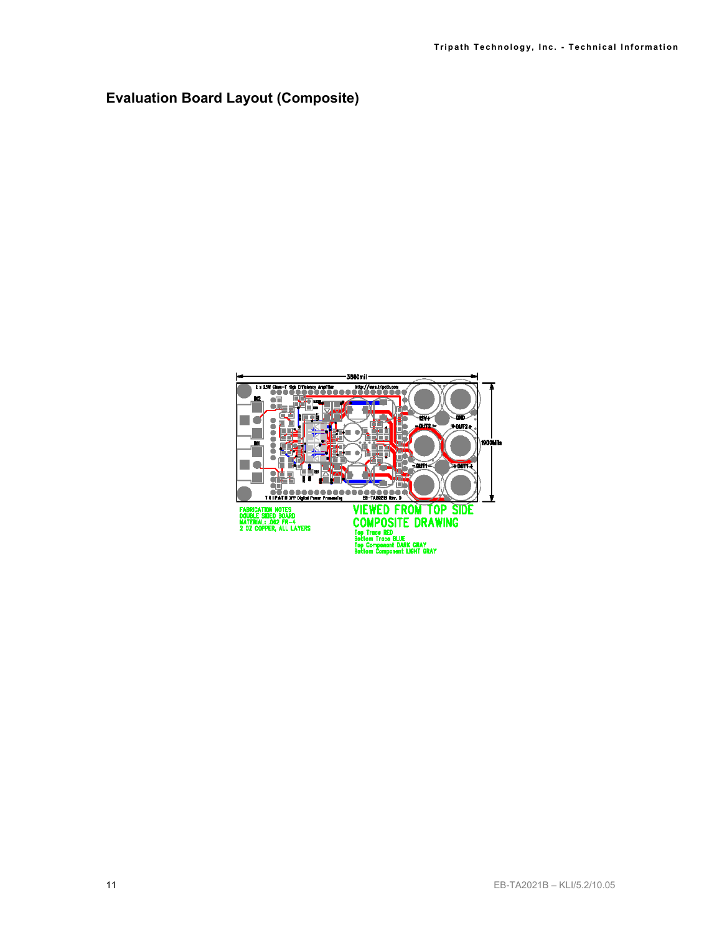## **Evaluation Board Layout (Composite)**

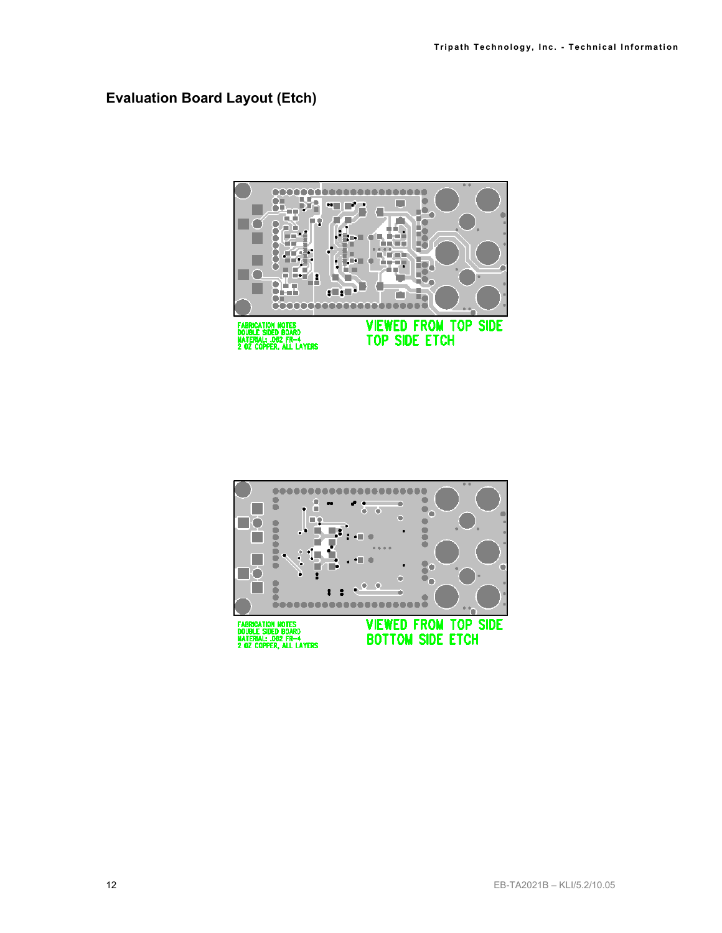#### **Evaluation Board Layout (Etch)**